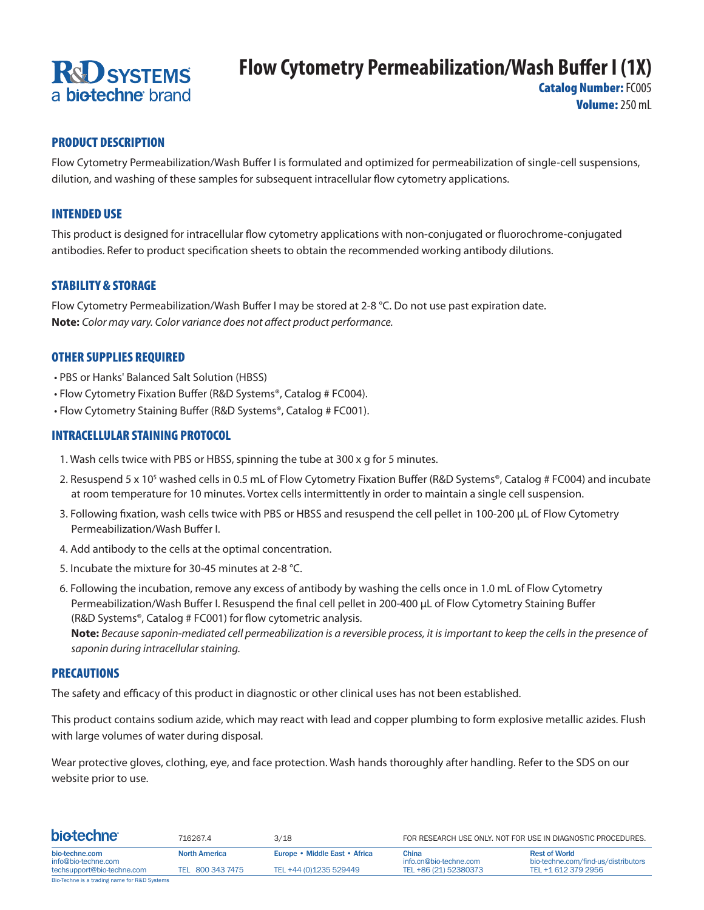# **R&D SYSTEMS** a **biotechne** brand

## **Flow Cytometry Permeabilization/Wash Buffer I (1X)**

**Catalog Number: FC005** Volume: 250 mL

#### PRODUCT DESCRIPTION

Flow Cytometry Permeabilization/Wash Buffer I is formulated and optimized for permeabilization of single-cell suspensions, dilution, and washing of these samples for subsequent intracellular flow cytometry applications.

#### INTENDED USE

This product is designed for intracellular flow cytometry applications with non-conjugated or fluorochrome-conjugated antibodies. Refer to product specification sheets to obtain the recommended working antibody dilutions.

#### STABILITY & STORAGE

Flow Cytometry Permeabilization/Wash Buffer I may be stored at 2-8 °C. Do not use past expiration date. **Note:** *Color may vary. Color variance does not affect product performance.*

#### OTHER SUPPLIES REQUIRED

- PBS or Hanks' Balanced Salt Solution (HBSS)
- Flow Cytometry Fixation Buffer (R&D Systems®, Catalog # FC004).
- Flow Cytometry Staining Buffer (R&D Systems®, Catalog # FC001).

#### INTRACELLULAR STAINING PROTOCOL

- 1. Wash cells twice with PBS or HBSS, spinning the tube at 300 x g for 5 minutes.
- 2. Resuspend 5 x 10<sup>5</sup> washed cells in 0.5 mL of Flow Cytometry Fixation Buffer (R&D Systems®, Catalog # FC004) and incubate at room temperature for 10 minutes. Vortex cells intermittently in order to maintain a single cell suspension.
- 3. Following fixation, wash cells twice with PBS or HBSS and resuspend the cell pellet in 100-200 μL of Flow Cytometry Permeabilization/Wash Buffer I.
- 4. Add antibody to the cells at the optimal concentration.
- 5. Incubate the mixture for 30-45 minutes at 2-8 °C.
- 6. Following the incubation, remove any excess of antibody by washing the cells once in 1.0 mL of Flow Cytometry Permeabilization/Wash Buffer I. Resuspend the final cell pellet in 200-400 μL of Flow Cytometry Staining Buffer (R&D Systems®, Catalog # FC001) for flow cytometric analysis.

**Note:** *Because saponin-mediated cell permeabilization is a reversible process, it is important to keep the cells in the presence of saponin during intracellular staining.*

#### PRECAUTIONS

The safety and efficacy of this product in diagnostic or other clinical uses has not been established.

This product contains sodium azide, which may react with lead and copper plumbing to form explosive metallic azides. Flush with large volumes of water during disposal.

Wear protective gloves, clothing, eye, and face protection. Wash hands thoroughly after handling. Refer to the SDS on our website prior to use.

| <b>biotechne</b>                             | 716267.4             | 3/18                          |                                 | FOR RESEARCH USE ONLY. NOT FOR USE IN DIAGNOSTIC PROCEDURES. |
|----------------------------------------------|----------------------|-------------------------------|---------------------------------|--------------------------------------------------------------|
| bio-techne.com<br>info@bio-techne.com        | <b>North America</b> | Europe • Middle East • Africa | China<br>info.cn@bio-techne.com | <b>Rest of World</b><br>bio-techne.com/find-us/distributors  |
| techsupport@bio-techne.com                   | TEL 800 343 7475     | TEL +44 (0)1235 529449        | TEL +86 (21) 52380373           | TEL +1 612 379 2956                                          |
| Bio-Techne is a trading name for R&D Systems |                      |                               |                                 |                                                              |